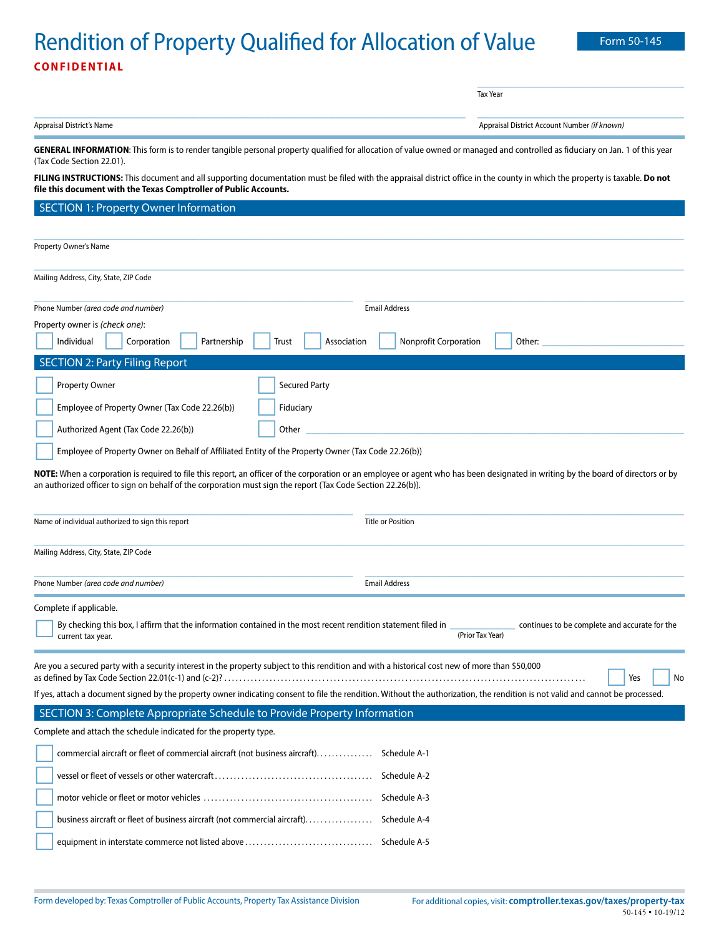## Rendition of Property Qualified for Allocation of Value Form 50-145 **CONFIDENTIAL**

| Appraisal District's Name<br>GENERAL INFORMATION: This form is to render tangible personal property qualified for allocation of value owned or managed and controlled as fiduciary on Jan. 1 of this year<br>(Tax Code Section 22.01).<br>FILING INSTRUCTIONS: This document and all supporting documentation must be filed with the appraisal district office in the county in which the property is taxable. Do not<br>file this document with the Texas Comptroller of Public Accounts.<br><b>SECTION 1: Property Owner Information</b><br>Property Owner's Name<br>Mailing Address, City, State, ZIP Code<br>Phone Number (area code and number)<br><b>Email Address</b><br>Property owner is (check one):<br><b>Nonprofit Corporation</b><br>Individual<br>Corporation<br>Partnership<br>Association<br>Trust<br><b>SECTION 2: Party Filing Report</b><br>Property Owner<br><b>Secured Party</b><br>Employee of Property Owner (Tax Code 22.26(b))<br>Fiduciary<br>Authorized Agent (Tax Code 22.26(b))<br>Other<br>Employee of Property Owner on Behalf of Affiliated Entity of the Property Owner (Tax Code 22.26(b))<br>NOTE: When a corporation is required to file this report, an officer of the corporation or an employee or agent who has been designated in writing by the board of directors or by<br>an authorized officer to sign on behalf of the corporation must sign the report (Tax Code Section 22.26(b)). | Appraisal District Account Number (if known)<br>Other: |
|------------------------------------------------------------------------------------------------------------------------------------------------------------------------------------------------------------------------------------------------------------------------------------------------------------------------------------------------------------------------------------------------------------------------------------------------------------------------------------------------------------------------------------------------------------------------------------------------------------------------------------------------------------------------------------------------------------------------------------------------------------------------------------------------------------------------------------------------------------------------------------------------------------------------------------------------------------------------------------------------------------------------------------------------------------------------------------------------------------------------------------------------------------------------------------------------------------------------------------------------------------------------------------------------------------------------------------------------------------------------------------------------------------------------------------|--------------------------------------------------------|
|                                                                                                                                                                                                                                                                                                                                                                                                                                                                                                                                                                                                                                                                                                                                                                                                                                                                                                                                                                                                                                                                                                                                                                                                                                                                                                                                                                                                                                    |                                                        |
|                                                                                                                                                                                                                                                                                                                                                                                                                                                                                                                                                                                                                                                                                                                                                                                                                                                                                                                                                                                                                                                                                                                                                                                                                                                                                                                                                                                                                                    |                                                        |
|                                                                                                                                                                                                                                                                                                                                                                                                                                                                                                                                                                                                                                                                                                                                                                                                                                                                                                                                                                                                                                                                                                                                                                                                                                                                                                                                                                                                                                    |                                                        |
|                                                                                                                                                                                                                                                                                                                                                                                                                                                                                                                                                                                                                                                                                                                                                                                                                                                                                                                                                                                                                                                                                                                                                                                                                                                                                                                                                                                                                                    |                                                        |
|                                                                                                                                                                                                                                                                                                                                                                                                                                                                                                                                                                                                                                                                                                                                                                                                                                                                                                                                                                                                                                                                                                                                                                                                                                                                                                                                                                                                                                    |                                                        |
|                                                                                                                                                                                                                                                                                                                                                                                                                                                                                                                                                                                                                                                                                                                                                                                                                                                                                                                                                                                                                                                                                                                                                                                                                                                                                                                                                                                                                                    |                                                        |
|                                                                                                                                                                                                                                                                                                                                                                                                                                                                                                                                                                                                                                                                                                                                                                                                                                                                                                                                                                                                                                                                                                                                                                                                                                                                                                                                                                                                                                    |                                                        |
|                                                                                                                                                                                                                                                                                                                                                                                                                                                                                                                                                                                                                                                                                                                                                                                                                                                                                                                                                                                                                                                                                                                                                                                                                                                                                                                                                                                                                                    |                                                        |
|                                                                                                                                                                                                                                                                                                                                                                                                                                                                                                                                                                                                                                                                                                                                                                                                                                                                                                                                                                                                                                                                                                                                                                                                                                                                                                                                                                                                                                    |                                                        |
|                                                                                                                                                                                                                                                                                                                                                                                                                                                                                                                                                                                                                                                                                                                                                                                                                                                                                                                                                                                                                                                                                                                                                                                                                                                                                                                                                                                                                                    |                                                        |
|                                                                                                                                                                                                                                                                                                                                                                                                                                                                                                                                                                                                                                                                                                                                                                                                                                                                                                                                                                                                                                                                                                                                                                                                                                                                                                                                                                                                                                    |                                                        |
|                                                                                                                                                                                                                                                                                                                                                                                                                                                                                                                                                                                                                                                                                                                                                                                                                                                                                                                                                                                                                                                                                                                                                                                                                                                                                                                                                                                                                                    |                                                        |
|                                                                                                                                                                                                                                                                                                                                                                                                                                                                                                                                                                                                                                                                                                                                                                                                                                                                                                                                                                                                                                                                                                                                                                                                                                                                                                                                                                                                                                    |                                                        |
|                                                                                                                                                                                                                                                                                                                                                                                                                                                                                                                                                                                                                                                                                                                                                                                                                                                                                                                                                                                                                                                                                                                                                                                                                                                                                                                                                                                                                                    |                                                        |
| Name of individual authorized to sign this report<br><b>Title or Position</b>                                                                                                                                                                                                                                                                                                                                                                                                                                                                                                                                                                                                                                                                                                                                                                                                                                                                                                                                                                                                                                                                                                                                                                                                                                                                                                                                                      |                                                        |
| Mailing Address, City, State, ZIP Code                                                                                                                                                                                                                                                                                                                                                                                                                                                                                                                                                                                                                                                                                                                                                                                                                                                                                                                                                                                                                                                                                                                                                                                                                                                                                                                                                                                             |                                                        |
| Phone Number (area code and number)<br><b>Email Address</b>                                                                                                                                                                                                                                                                                                                                                                                                                                                                                                                                                                                                                                                                                                                                                                                                                                                                                                                                                                                                                                                                                                                                                                                                                                                                                                                                                                        |                                                        |
| Complete if applicable.<br>By checking this box, I affirm that the information contained in the most recent rendition statement filed in                                                                                                                                                                                                                                                                                                                                                                                                                                                                                                                                                                                                                                                                                                                                                                                                                                                                                                                                                                                                                                                                                                                                                                                                                                                                                           | continues to be complete and accurate for the          |
| current tax year.                                                                                                                                                                                                                                                                                                                                                                                                                                                                                                                                                                                                                                                                                                                                                                                                                                                                                                                                                                                                                                                                                                                                                                                                                                                                                                                                                                                                                  | (Prior Tax Year)                                       |
| Are you a secured party with a security interest in the property subject to this rendition and with a historical cost new of more than \$50,000                                                                                                                                                                                                                                                                                                                                                                                                                                                                                                                                                                                                                                                                                                                                                                                                                                                                                                                                                                                                                                                                                                                                                                                                                                                                                    | Yes<br>No                                              |
| If yes, attach a document signed by the property owner indicating consent to file the rendition. Without the authorization, the rendition is not valid and cannot be processed.                                                                                                                                                                                                                                                                                                                                                                                                                                                                                                                                                                                                                                                                                                                                                                                                                                                                                                                                                                                                                                                                                                                                                                                                                                                    |                                                        |
| SECTION 3: Complete Appropriate Schedule to Provide Property Information                                                                                                                                                                                                                                                                                                                                                                                                                                                                                                                                                                                                                                                                                                                                                                                                                                                                                                                                                                                                                                                                                                                                                                                                                                                                                                                                                           |                                                        |
| Complete and attach the schedule indicated for the property type.                                                                                                                                                                                                                                                                                                                                                                                                                                                                                                                                                                                                                                                                                                                                                                                                                                                                                                                                                                                                                                                                                                                                                                                                                                                                                                                                                                  |                                                        |
| commercial aircraft or fleet of commercial aircraft (not business aircraft)<br>Schedule A-1                                                                                                                                                                                                                                                                                                                                                                                                                                                                                                                                                                                                                                                                                                                                                                                                                                                                                                                                                                                                                                                                                                                                                                                                                                                                                                                                        |                                                        |
|                                                                                                                                                                                                                                                                                                                                                                                                                                                                                                                                                                                                                                                                                                                                                                                                                                                                                                                                                                                                                                                                                                                                                                                                                                                                                                                                                                                                                                    |                                                        |
| Schedule A-3                                                                                                                                                                                                                                                                                                                                                                                                                                                                                                                                                                                                                                                                                                                                                                                                                                                                                                                                                                                                                                                                                                                                                                                                                                                                                                                                                                                                                       |                                                        |
| business aircraft or fleet of business aircraft (not commercial aircraft) Schedule A-4                                                                                                                                                                                                                                                                                                                                                                                                                                                                                                                                                                                                                                                                                                                                                                                                                                                                                                                                                                                                                                                                                                                                                                                                                                                                                                                                             |                                                        |
|                                                                                                                                                                                                                                                                                                                                                                                                                                                                                                                                                                                                                                                                                                                                                                                                                                                                                                                                                                                                                                                                                                                                                                                                                                                                                                                                                                                                                                    |                                                        |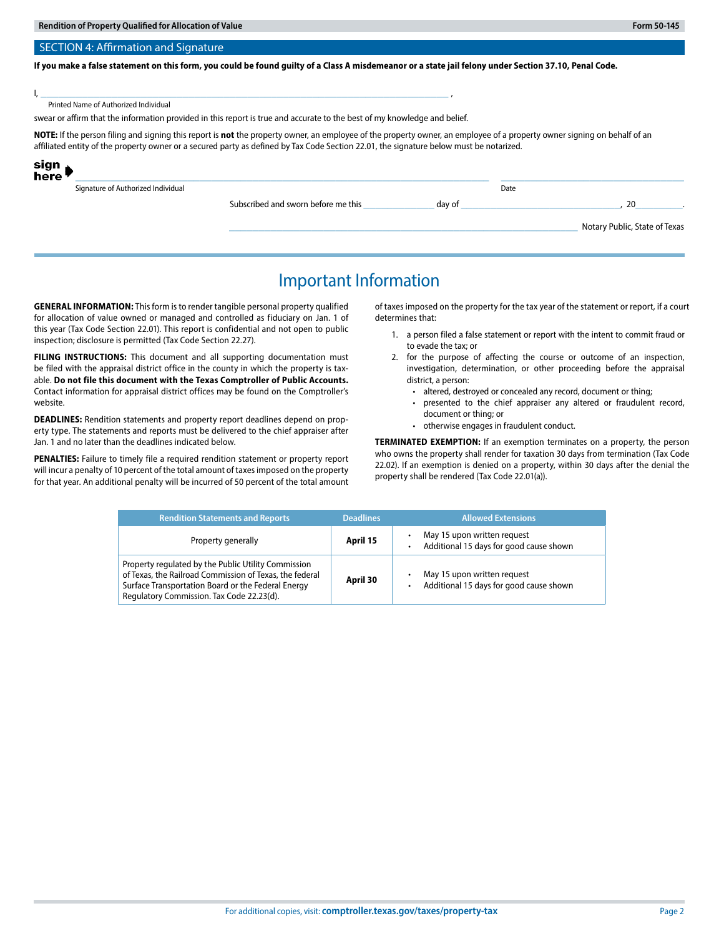### **If you make a false statement on this form, you could be found guilty of a Class A misdemeanor or a state jail felony under Section 37.10, Penal Code.**

I, \_\_\_\_\_\_\_\_\_\_\_\_\_\_\_\_\_\_\_\_\_\_\_\_\_\_\_\_\_\_\_\_\_\_\_\_\_\_\_\_\_\_\_\_\_\_\_\_\_\_\_\_\_\_\_\_\_\_\_\_\_\_\_\_\_\_\_\_\_ ,

Printed Name of Authorized Individual

swear or affirm that the information provided in this report is true and accurate to the best of my knowledge and belief.

**NOTE:** If the person filing and signing this report is **not** the property owner, an employee of the property owner, an employee of a property owner signing on behalf of an affiliated entity of the property owner or a secured party as defined by Tax Code Section 22.01, the signature below must be notarized.

| sign<br>here <sup>l</sup> |                                    |                                     |        |      |                               |
|---------------------------|------------------------------------|-------------------------------------|--------|------|-------------------------------|
|                           | Signature of Authorized Individual |                                     |        | Date |                               |
|                           |                                    | Subscribed and sworn before me this | dav of |      | 20                            |
|                           |                                    |                                     |        |      | Notary Public, State of Texas |

### Important Information

**GENERAL INFORMATION:** This form is to render tangible personal property qualified for allocation of value owned or managed and controlled as fiduciary on Jan. 1 of this year (Tax Code Section 22.01). This report is confidential and not open to public inspection; disclosure is permitted (Tax Code Section 22.27).

**FILING INSTRUCTIONS:** This document and all supporting documentation must be filed with the appraisal district office in the county in which the property is taxable. **Do not file this document with the Texas Comptroller of Public Accounts.** Contact information for appraisal district offices may be found on the Comptroller's website.

**DEADLINES:** Rendition statements and property report deadlines depend on property type. The statements and reports must be delivered to the chief appraiser after Jan. 1 and no later than the deadlines indicated below.

**PENALTIES:** Failure to timely file a required rendition statement or property report will incur a penalty of 10 percent of the total amount of taxes imposed on the property for that year. An additional penalty will be incurred of 50 percent of the total amount of taxes imposed on the property for the tax year of the statement or report, if a court determines that:

- 1. a person filed a false statement or report with the intent to commit fraud or to evade the tax; or
- 2. for the purpose of affecting the course or outcome of an inspection, investigation, determination, or other proceeding before the appraisal district, a person:
	- altered, destroyed or concealed any record, document or thing;
	- presented to the chief appraiser any altered or fraudulent record, document or thing; or
	- otherwise engages in fraudulent conduct.

**TERMINATED EXEMPTION:** If an exemption terminates on a property, the person who owns the property shall render for taxation 30 days from termination (Tax Code 22.02). If an exemption is denied on a property, within 30 days after the denial the property shall be rendered (Tax Code 22.01(a)).

| <b>Rendition Statements and Reports</b>                                                                                                                                                                           | <b>Deadlines</b> | <b>Allowed Extensions</b>                                              |
|-------------------------------------------------------------------------------------------------------------------------------------------------------------------------------------------------------------------|------------------|------------------------------------------------------------------------|
| Property generally                                                                                                                                                                                                | April 15         | May 15 upon written request<br>Additional 15 days for good cause shown |
| Property regulated by the Public Utility Commission<br>of Texas, the Railroad Commission of Texas, the federal<br>Surface Transportation Board or the Federal Energy<br>Regulatory Commission. Tax Code 22.23(d). | April 30         | May 15 upon written request<br>Additional 15 days for good cause shown |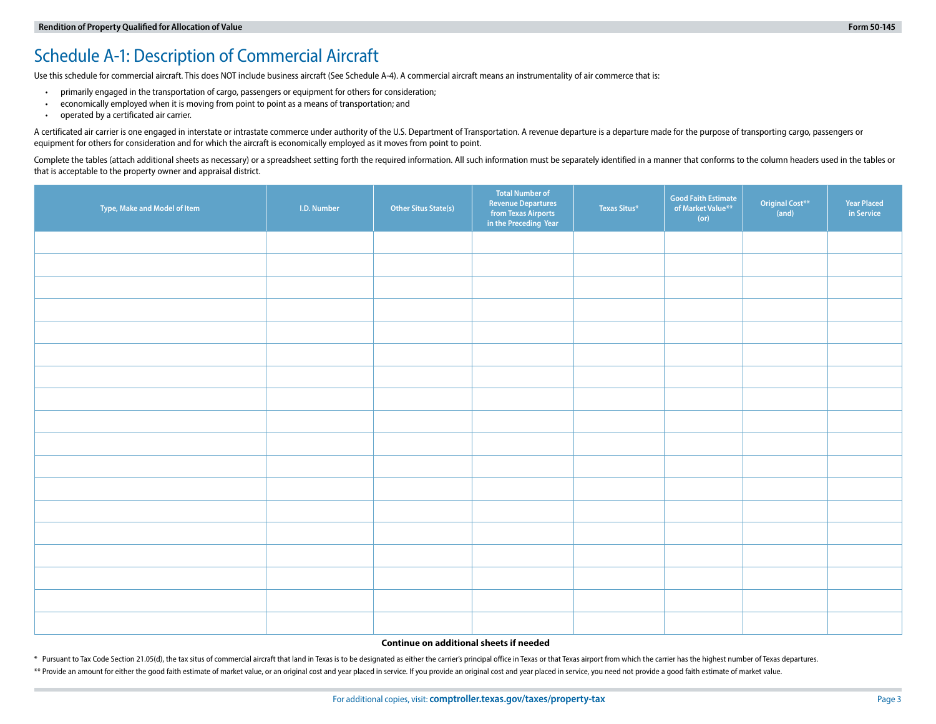### Schedule A-1: Description of Commercial Aircraft

Use this schedule for commercial aircraft. This does NOT include business aircraft (See Schedule A-4). A commercial aircraft means an instrumentality of air commerce that is:

- primarily engaged in the transportation of cargo, passengers or equipment for others for consideration;
- economically employed when it is moving from point to point as a means of transportation; and
- operated by a certificated air carrier.

A certificated air carrier is one engaged in interstate or intrastate commerce under authority of the U.S. Department of Transportation. A revenue departure is a departure made for the purpose of transporting cargo, passen equipment for others for consideration and for which the aircraft is economically employed as it moves from point to point.

Complete the tables (attach additional sheets as necessary) or a spreadsheet setting forth the required information. All such information must be separately identified in a manner that conforms to the column headers used i that is acceptable to the property owner and appraisal district.

| Type, Make and Model of Item | I.D. Number | <b>Other Situs State(s)</b> | <b>Total Number of</b><br><b>Revenue Departures</b><br>from Texas Airports<br>in the Preceding Year | Texas Situs* | <b>Good Faith Estimate</b><br>of Market Value**<br>(or) | Original Cost**<br>(and) | <b>Year Placed</b><br>in Service |
|------------------------------|-------------|-----------------------------|-----------------------------------------------------------------------------------------------------|--------------|---------------------------------------------------------|--------------------------|----------------------------------|
|                              |             |                             |                                                                                                     |              |                                                         |                          |                                  |
|                              |             |                             |                                                                                                     |              |                                                         |                          |                                  |
|                              |             |                             |                                                                                                     |              |                                                         |                          |                                  |
|                              |             |                             |                                                                                                     |              |                                                         |                          |                                  |
|                              |             |                             |                                                                                                     |              |                                                         |                          |                                  |
|                              |             |                             |                                                                                                     |              |                                                         |                          |                                  |
|                              |             |                             |                                                                                                     |              |                                                         |                          |                                  |
|                              |             |                             |                                                                                                     |              |                                                         |                          |                                  |
|                              |             |                             |                                                                                                     |              |                                                         |                          |                                  |
|                              |             |                             |                                                                                                     |              |                                                         |                          |                                  |
|                              |             |                             |                                                                                                     |              |                                                         |                          |                                  |
|                              |             |                             |                                                                                                     |              |                                                         |                          |                                  |
|                              |             |                             |                                                                                                     |              |                                                         |                          |                                  |
|                              |             |                             |                                                                                                     |              |                                                         |                          |                                  |
|                              |             |                             |                                                                                                     |              |                                                         |                          |                                  |
|                              |             |                             |                                                                                                     |              |                                                         |                          |                                  |
|                              |             |                             |                                                                                                     |              |                                                         |                          |                                  |
|                              |             |                             |                                                                                                     |              |                                                         |                          |                                  |

#### **Continue on additional sheets if needed**

\* Pursuant to Tax Code Section 21.05(d), the tax situs of commercial aircraft that land in Texas is to be designated as either the carrier's principal office in Texas or that Texas airport from which the carrier has the hi \*\* Provide an amount for either the good faith estimate of market value, or an original cost and year placed in service. If you provide an original cost and year placed in service, you need not provide a good faith estimat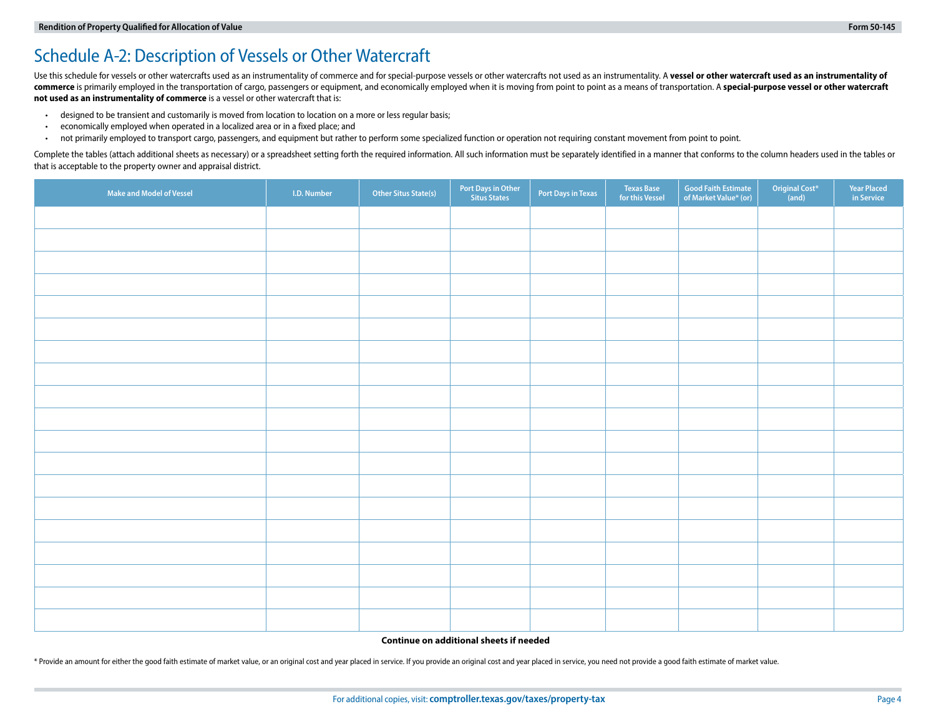# Schedule A-2: Description of Vessels or Other Watercraft

Use this schedule for vessels or other watercrafts used as an instrumentality of commerce and for special-purpose vessels or other watercrafts not used as an instrumentality. A vessel or other watercraft used as an instrum commerce is primarily employed in the transportation of cargo, passengers or equipment, and economically employed when it is moving from point to point as a means of transportation. A special-purpose vessel or other waterc **not used as an instrumentality of commerce** is a vessel or other watercraft that is:

- designed to be transient and customarily is moved from location to location on a more or less regular basis;
- economically employed when operated in a localized area or in a fixed place; and
- not primarily employed to transport cargo, passengers, and equipment but rather to perform some specialized function or operation not requiring constant movement from point to point.

Complete the tables (attach additional sheets as necessary) or a spreadsheet setting forth the required information. All such information must be separately identified in a manner that conforms to the column headers used i that is acceptable to the property owner and appraisal district.

| Make and Model of Vessel | I.D. Number | <b>Other Situs State(s)</b> | Port Days in Other<br>Situs States | Port Days in Texas | Texas Base<br>for this Vessel | <b>Good Faith Estimate</b><br>of Market Value* (or) | Original Cost*<br>(and) | <b>Year Placed<br/>in Service</b> |
|--------------------------|-------------|-----------------------------|------------------------------------|--------------------|-------------------------------|-----------------------------------------------------|-------------------------|-----------------------------------|
|                          |             |                             |                                    |                    |                               |                                                     |                         |                                   |
|                          |             |                             |                                    |                    |                               |                                                     |                         |                                   |
|                          |             |                             |                                    |                    |                               |                                                     |                         |                                   |
|                          |             |                             |                                    |                    |                               |                                                     |                         |                                   |
|                          |             |                             |                                    |                    |                               |                                                     |                         |                                   |
|                          |             |                             |                                    |                    |                               |                                                     |                         |                                   |
|                          |             |                             |                                    |                    |                               |                                                     |                         |                                   |
|                          |             |                             |                                    |                    |                               |                                                     |                         |                                   |
|                          |             |                             |                                    |                    |                               |                                                     |                         |                                   |
|                          |             |                             |                                    |                    |                               |                                                     |                         |                                   |
|                          |             |                             |                                    |                    |                               |                                                     |                         |                                   |
|                          |             |                             |                                    |                    |                               |                                                     |                         |                                   |
|                          |             |                             |                                    |                    |                               |                                                     |                         |                                   |
|                          |             |                             |                                    |                    |                               |                                                     |                         |                                   |
|                          |             |                             |                                    |                    |                               |                                                     |                         |                                   |
|                          |             |                             |                                    |                    |                               |                                                     |                         |                                   |
|                          |             |                             |                                    |                    |                               |                                                     |                         |                                   |
|                          |             |                             |                                    |                    |                               |                                                     |                         |                                   |
|                          |             |                             |                                    |                    |                               |                                                     |                         |                                   |

#### **Continue on additional sheets if needed**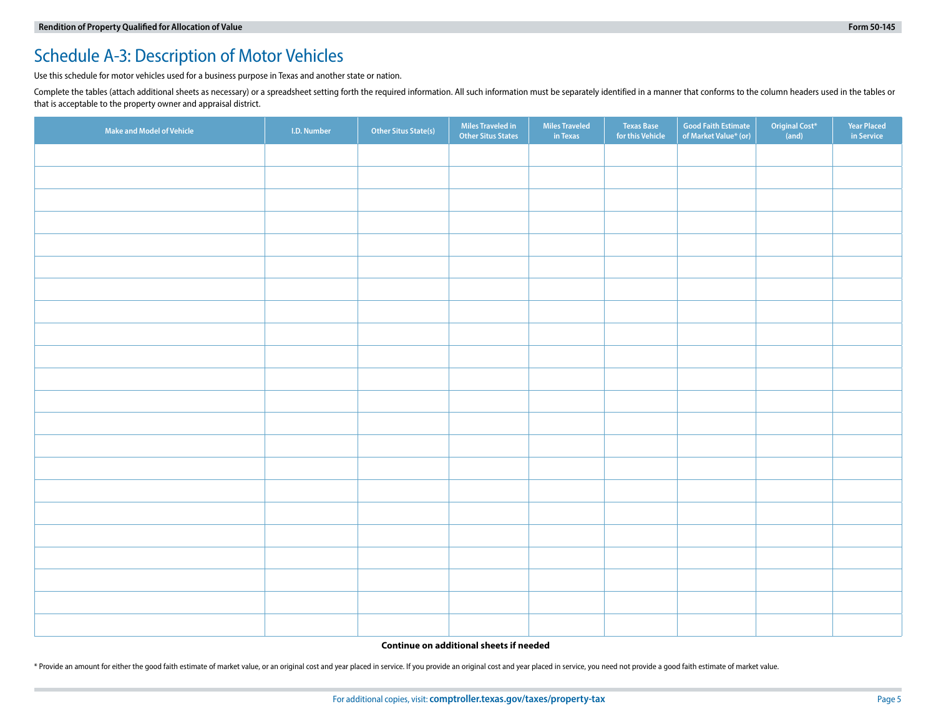### Schedule A-3: Description of Motor Vehicles

Use this schedule for motor vehicles used for a business purpose in Texas and another state or nation.

Complete the tables (attach additional sheets as necessary) or a spreadsheet setting forth the required information. All such information must be separately identified in a manner that conforms to the column headers used i that is acceptable to the property owner and appraisal district.

| Make and Model of Vehicle | I.D. Number | Other Situs State(s) | Miles Traveled in<br>Other Situs States | Miles Traveled<br>in Texas | <b>Texas Base</b><br>for this Vehicle | Good Faith Estimate<br>of Market Value* (or) | Original Cost*<br>(and) | <b>Year Placed<br/>in Service</b> |
|---------------------------|-------------|----------------------|-----------------------------------------|----------------------------|---------------------------------------|----------------------------------------------|-------------------------|-----------------------------------|
|                           |             |                      |                                         |                            |                                       |                                              |                         |                                   |
|                           |             |                      |                                         |                            |                                       |                                              |                         |                                   |
|                           |             |                      |                                         |                            |                                       |                                              |                         |                                   |
|                           |             |                      |                                         |                            |                                       |                                              |                         |                                   |
|                           |             |                      |                                         |                            |                                       |                                              |                         |                                   |
|                           |             |                      |                                         |                            |                                       |                                              |                         |                                   |
|                           |             |                      |                                         |                            |                                       |                                              |                         |                                   |
|                           |             |                      |                                         |                            |                                       |                                              |                         |                                   |
|                           |             |                      |                                         |                            |                                       |                                              |                         |                                   |
|                           |             |                      |                                         |                            |                                       |                                              |                         |                                   |
|                           |             |                      |                                         |                            |                                       |                                              |                         |                                   |
|                           |             |                      |                                         |                            |                                       |                                              |                         |                                   |
|                           |             |                      |                                         |                            |                                       |                                              |                         |                                   |
|                           |             |                      |                                         |                            |                                       |                                              |                         |                                   |
|                           |             |                      |                                         |                            |                                       |                                              |                         |                                   |
|                           |             |                      |                                         |                            |                                       |                                              |                         |                                   |
|                           |             |                      |                                         |                            |                                       |                                              |                         |                                   |
|                           |             |                      |                                         |                            |                                       |                                              |                         |                                   |
|                           |             |                      |                                         |                            |                                       |                                              |                         |                                   |
|                           |             |                      |                                         |                            |                                       |                                              |                         |                                   |
|                           |             |                      |                                         |                            |                                       |                                              |                         |                                   |
|                           |             |                      |                                         |                            |                                       |                                              |                         |                                   |

#### **Continue on additional sheets if needed**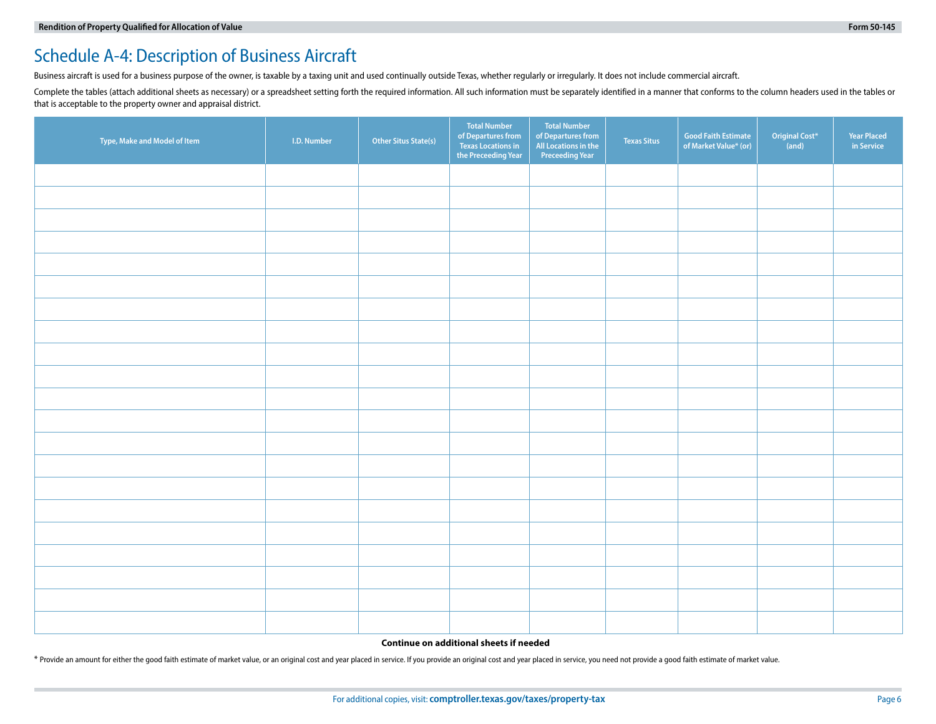## Schedule A-4: Description of Business Aircraft

Business aircraft is used for a business purpose of the owner, is taxable by a taxing unit and used continually outside Texas, whether regularly or irregularly. It does not include commercial aircraft.

Complete the tables (attach additional sheets as necessary) or a spreadsheet setting forth the required information. All such information must be separately identified in a manner that conforms to the column headers used i that is acceptable to the property owner and appraisal district.

| Type, Make and Model of Item | I.D. Number | <b>Other Situs State(s)</b> | <b>Total Number</b><br>of Departures from<br>Texas Locations in<br>the Preceeding Year | <b>Total Number</b><br>of Departures from<br>All Locations in the<br><b>Preceeding Year</b> | <b>Texas Situs</b> | Good Faith Estimate<br>of Market Value* (or) | Original Cost*<br>(and) | <b>Year Placed</b><br>in Service |
|------------------------------|-------------|-----------------------------|----------------------------------------------------------------------------------------|---------------------------------------------------------------------------------------------|--------------------|----------------------------------------------|-------------------------|----------------------------------|
|                              |             |                             |                                                                                        |                                                                                             |                    |                                              |                         |                                  |
|                              |             |                             |                                                                                        |                                                                                             |                    |                                              |                         |                                  |
|                              |             |                             |                                                                                        |                                                                                             |                    |                                              |                         |                                  |
|                              |             |                             |                                                                                        |                                                                                             |                    |                                              |                         |                                  |
|                              |             |                             |                                                                                        |                                                                                             |                    |                                              |                         |                                  |
|                              |             |                             |                                                                                        |                                                                                             |                    |                                              |                         |                                  |
|                              |             |                             |                                                                                        |                                                                                             |                    |                                              |                         |                                  |
|                              |             |                             |                                                                                        |                                                                                             |                    |                                              |                         |                                  |
|                              |             |                             |                                                                                        |                                                                                             |                    |                                              |                         |                                  |
|                              |             |                             |                                                                                        |                                                                                             |                    |                                              |                         |                                  |
|                              |             |                             |                                                                                        |                                                                                             |                    |                                              |                         |                                  |
|                              |             |                             |                                                                                        |                                                                                             |                    |                                              |                         |                                  |
|                              |             |                             |                                                                                        |                                                                                             |                    |                                              |                         |                                  |
|                              |             |                             |                                                                                        |                                                                                             |                    |                                              |                         |                                  |
|                              |             |                             |                                                                                        |                                                                                             |                    |                                              |                         |                                  |
|                              |             |                             |                                                                                        |                                                                                             |                    |                                              |                         |                                  |
|                              |             |                             |                                                                                        |                                                                                             |                    |                                              |                         |                                  |
|                              |             |                             |                                                                                        |                                                                                             |                    |                                              |                         |                                  |
|                              |             |                             |                                                                                        |                                                                                             |                    |                                              |                         |                                  |
|                              |             |                             |                                                                                        |                                                                                             |                    |                                              |                         |                                  |
|                              |             |                             |                                                                                        |                                                                                             |                    |                                              |                         |                                  |

#### **Continue on additional sheets if needed**